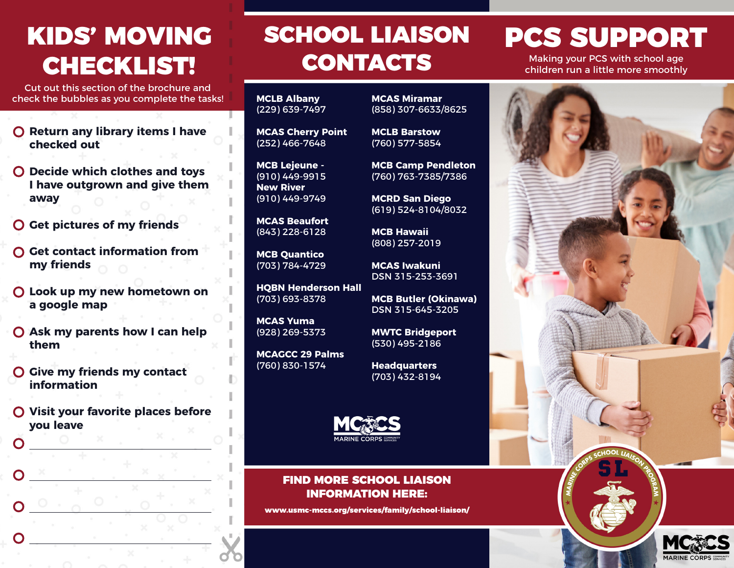# KIDS' MOVING

Cut out this section of the brochure and check the bubbles as you complete the tasks!

- **O** Return any library items I have **checked out**
- **Decide which clothes and toys I have outgrown and give them away**
- **Get pictures of my friends**
- **Get contact information from my friends**
- **Look up my new hometown on a google map**
- **Ask my parents how I can help them**
- **Give my friends my contact information**
- **Visit your favorite places before you leave**

### SCHOOL LIAISON PCS SUPPORT CONTACTS CHECKLIST! CONTACTS Making your PCS with school age **CONTACTS** Making your PCS with school age

**MCLB Albany** (229) 639-7497

**MCAS Cherry Point** (252) 466-7648

**MCB Lejeune -** (910) 449-9915 **New River** (910) 449-9749

**MCAS Beaufort** (843) 228-6128

**MCB Quantico** (703) 784-4729

**HQBN Henderson Hall** (703) 693-8378

**MCAS Yuma** (928) 269-5373

**MCAGCC 29 Palms** (760) 830-1574

**MCAS Miramar** (858) 307-6633/8625

**MCLB Barstow** (760) 577-5854

**MCB Camp Pendleton** (760) 763-7385/7386

**MCRD San Diego** (619) 524-8104/8032

**MCB Hawaii** (808) 257-2019

**MCAS Iwakuni** DSN 315-253-3691

**MCB Butler (Okinawa)** DSN 315-645-3205

**MWTC Bridgeport** (530) 495-2186

**Headquarters** (703) 432-8194



### FIND MORE SCHOOL LIAISON INFORMATION HERE:

www.usmc-mccs.org/services/family/school-liaison/

children run a little more smoothly